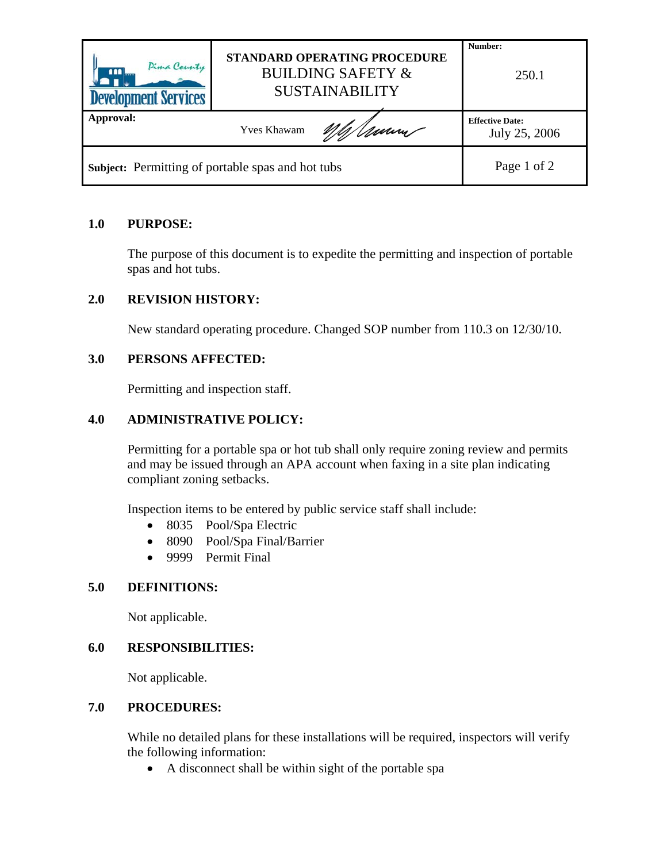| Pima County<br><b>AAA</b><br><b>Development Services</b> | <b>STANDARD OPERATING PROCEDURE</b><br><b>BUILDING SAFETY &amp;</b><br><b>SUSTAINABILITY</b> | Number:<br>250.1                        |
|----------------------------------------------------------|----------------------------------------------------------------------------------------------|-----------------------------------------|
| <b>Approval:</b>                                         | Umm<br><b>Yves Khawam</b>                                                                    | <b>Effective Date:</b><br>July 25, 2006 |
| Subject: Permitting of portable spas and hot tubs        |                                                                                              | Page 1 of 2                             |

# **1.0 PURPOSE:**

The purpose of this document is to expedite the permitting and inspection of portable spas and hot tubs.

## **2.0 REVISION HISTORY:**

New standard operating procedure. Changed SOP number from 110.3 on 12/30/10.

## **3.0 PERSONS AFFECTED:**

Permitting and inspection staff.

## **4.0 ADMINISTRATIVE POLICY:**

Permitting for a portable spa or hot tub shall only require zoning review and permits and may be issued through an APA account when faxing in a site plan indicating compliant zoning setbacks.

Inspection items to be entered by public service staff shall include:

- 8035 Pool/Spa Electric
- 8090 Pool/Spa Final/Barrier
- 9999 Permit Final

#### **5.0 DEFINITIONS:**

Not applicable.

#### **6.0 RESPONSIBILITIES:**

Not applicable.

# **7.0 PROCEDURES:**

While no detailed plans for these installations will be required, inspectors will verify the following information:

• A disconnect shall be within sight of the portable spa